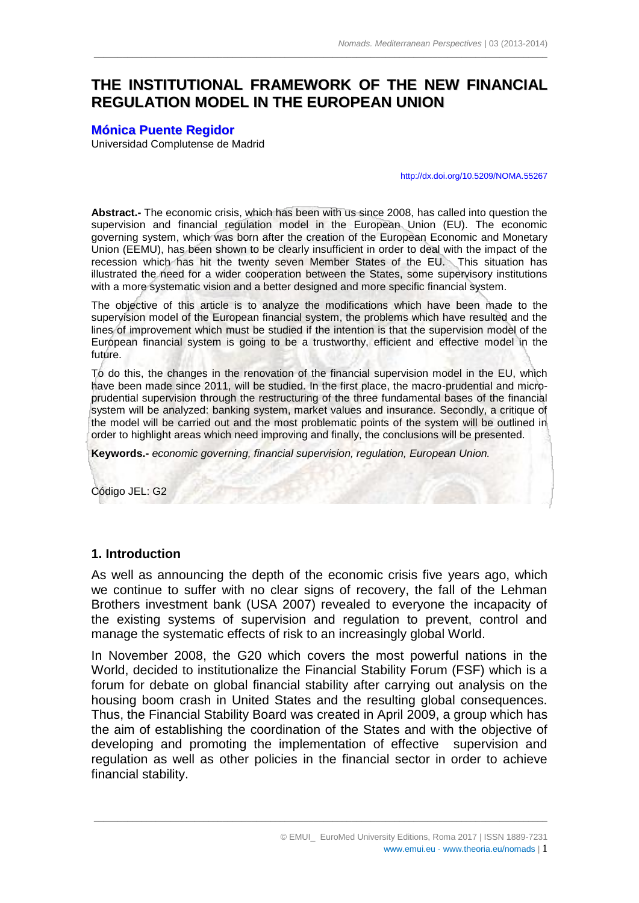# **THE INSTITUTIONAL FRAMEWORK OF THE NEW FINANCIAL REGULATION MODEL IN THE EUROPEAN UNION**

 $\_$  ,  $\_$  ,  $\_$  ,  $\_$  ,  $\_$  ,  $\_$  ,  $\_$  ,  $\_$  ,  $\_$  ,  $\_$  ,  $\_$  ,  $\_$  ,  $\_$  ,  $\_$  ,  $\_$  ,  $\_$  ,  $\_$  ,  $\_$  ,  $\_$  ,  $\_$  ,  $\_$  ,  $\_$  ,  $\_$  ,  $\_$  ,  $\_$  ,  $\_$  ,  $\_$  ,  $\_$  ,  $\_$  ,  $\_$  ,  $\_$  ,  $\_$  ,  $\_$  ,  $\_$  ,  $\_$  ,  $\_$  ,  $\_$  ,

#### **Mónica Puente [Regidor](mailto:mpuenter@cps.ucm.es)**

Universidad Complutense de Madrid

<http://dx.doi.org/10.5209/NOMA.55267>

**Abstract.-** The economic crisis, which has been with us since 2008, has called into question the supervision and financial regulation model in the European Union (EU). The economic governing system, which was born after the creation of the European Economic and Monetary Union (EEMU), has been shown to be clearly insufficient in order to deal with the impact of the recession which has hit the twenty seven Member States of the EU. This situation has illustrated the need for a wider cooperation between the States, some supervisory institutions with a more systematic vision and a better designed and more specific financial system.

The objective of this article is to analyze the modifications which have been made to the supervision model of the European financial system, the problems which have resulted and the lines of improvement which must be studied if the intention is that the supervision model of the European financial system is going to be a trustworthy, efficient and effective model in the future.

To do this, the changes in the renovation of the financial supervision model in the EU, which have been made since 2011, will be studied. In the first place, the macro-prudential and microprudential supervision through the restructuring of the three fundamental bases of the financial system will be analyzed: banking system, market values and insurance. Secondly, a critique of the model will be carried out and the most problematic points of the system will be outlined in order to highlight areas which need improving and finally, the conclusions will be presented.

**Keywords.-** *economic governing, financial supervision, regulation, European Union.* 

Código JEL: G2

#### **1. Introduction**

As well as announcing the depth of the economic crisis five years ago, which we continue to suffer with no clear signs of recovery, the fall of the Lehman Brothers investment bank (USA 2007) revealed to everyone the incapacity of the existing systems of supervision and regulation to prevent, control and manage the systematic effects of risk to an increasingly global World.

In November 2008, the G20 which covers the most powerful nations in the World, decided to institutionalize the Financial Stability Forum (FSF) which is a forum for debate on global financial stability after carrying out analysis on the housing boom crash in United States and the resulting global consequences. Thus, the Financial Stability Board was created in April 2009, a group which has the aim of establishing the coordination of the States and with the objective of developing and promoting the implementation of effective supervision and regulation as well as other policies in the financial sector in order to achieve financial stability.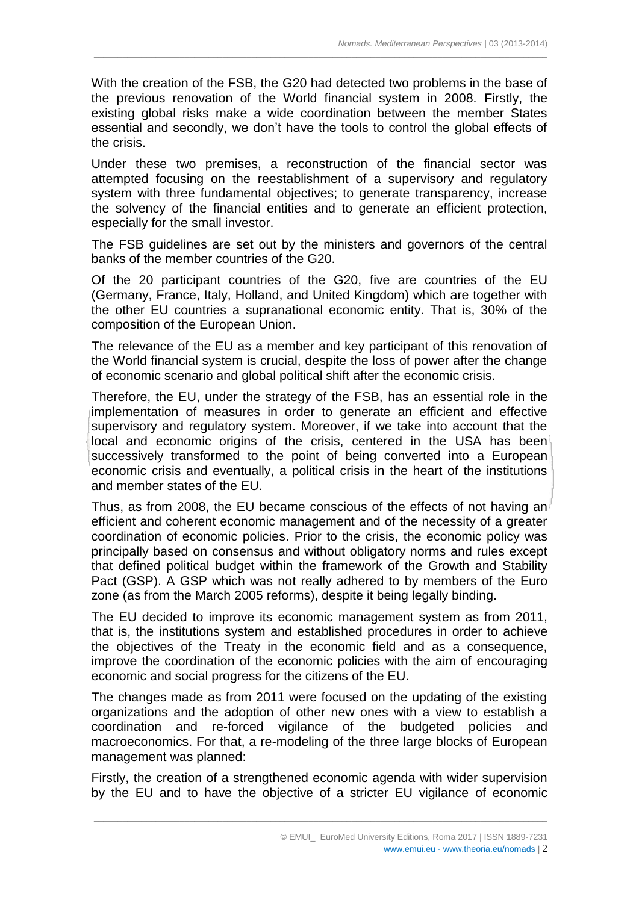With the creation of the FSB, the G20 had detected two problems in the base of the previous renovation of the World financial system in 2008. Firstly, the existing global risks make a wide coordination between the member States essential and secondly, we don't have the tools to control the global effects of the crisis.

 $\_$  ,  $\_$  ,  $\_$  ,  $\_$  ,  $\_$  ,  $\_$  ,  $\_$  ,  $\_$  ,  $\_$  ,  $\_$  ,  $\_$  ,  $\_$  ,  $\_$  ,  $\_$  ,  $\_$  ,  $\_$  ,  $\_$  ,  $\_$  ,  $\_$  ,  $\_$  ,  $\_$  ,  $\_$  ,  $\_$  ,  $\_$  ,  $\_$  ,  $\_$  ,  $\_$  ,  $\_$  ,  $\_$  ,  $\_$  ,  $\_$  ,  $\_$  ,  $\_$  ,  $\_$  ,  $\_$  ,  $\_$  ,  $\_$  ,

Under these two premises, a reconstruction of the financial sector was attempted focusing on the reestablishment of a supervisory and regulatory system with three fundamental objectives; to generate transparency, increase the solvency of the financial entities and to generate an efficient protection, especially for the small investor.

The FSB guidelines are set out by the ministers and governors of the central banks of the member countries of the G20.

Of the 20 participant countries of the G20, five are countries of the EU (Germany, France, Italy, Holland, and United Kingdom) which are together with the other EU countries a supranational economic entity. That is, 30% of the composition of the European Union.

The relevance of the EU as a member and key participant of this renovation of the World financial system is crucial, despite the loss of power after the change of economic scenario and global political shift after the economic crisis.

Therefore, the EU, under the strategy of the FSB, has an essential role in the implementation of measures in order to generate an efficient and effective supervisory and regulatory system. Moreover, if we take into account that the local and economic origins of the crisis, centered in the USA has been successively transformed to the point of being converted into a European economic crisis and eventually, a political crisis in the heart of the institutions and member states of the EU.

Thus, as from 2008, the EU became conscious of the effects of not having an efficient and coherent economic management and of the necessity of a greater coordination of economic policies. Prior to the crisis, the economic policy was principally based on consensus and without obligatory norms and rules except that defined political budget within the framework of the Growth and Stability Pact (GSP). A GSP which was not really adhered to by members of the Euro zone (as from the March 2005 reforms), despite it being legally binding.

The EU decided to improve its economic management system as from 2011, that is, the institutions system and established procedures in order to achieve the objectives of the Treaty in the economic field and as a consequence, improve the coordination of the economic policies with the aim of encouraging economic and social progress for the citizens of the EU.

The changes made as from 2011 were focused on the updating of the existing organizations and the adoption of other new ones with a view to establish a coordination and re-forced vigilance of the budgeted policies and macroeconomics. For that, a re-modeling of the three large blocks of European management was planned:

Firstly, the creation of a strengthened economic agenda with wider supervision by the EU and to have the objective of a stricter EU vigilance of economic

<sup>©</sup> EMUI\_ EuroMed University Editions, Roma 2017 | ISSN 1889-7231 www.emui.eu · www.theoria.eu/nomads | 2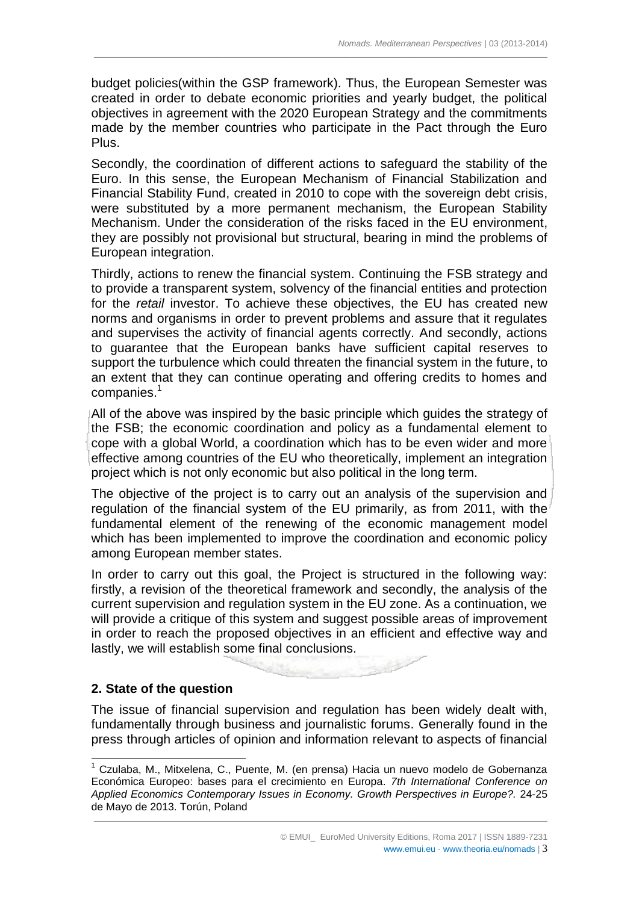budget policies(within the GSP framework). Thus, the European Semester was created in order to debate economic priorities and yearly budget, the political objectives in agreement with the 2020 European Strategy and the commitments made by the member countries who participate in the Pact through the Euro Plus.

 $\_$  ,  $\_$  ,  $\_$  ,  $\_$  ,  $\_$  ,  $\_$  ,  $\_$  ,  $\_$  ,  $\_$  ,  $\_$  ,  $\_$  ,  $\_$  ,  $\_$  ,  $\_$  ,  $\_$  ,  $\_$  ,  $\_$  ,  $\_$  ,  $\_$  ,  $\_$  ,  $\_$  ,  $\_$  ,  $\_$  ,  $\_$  ,  $\_$  ,  $\_$  ,  $\_$  ,  $\_$  ,  $\_$  ,  $\_$  ,  $\_$  ,  $\_$  ,  $\_$  ,  $\_$  ,  $\_$  ,  $\_$  ,  $\_$  ,

Secondly, the coordination of different actions to safeguard the stability of the Euro. In this sense, the European Mechanism of Financial Stabilization and Financial Stability Fund, created in 2010 to cope with the sovereign debt crisis, were substituted by a more permanent mechanism, the European Stability Mechanism. Under the consideration of the risks faced in the EU environment, they are possibly not provisional but structural, bearing in mind the problems of European integration.

Thirdly, actions to renew the financial system. Continuing the FSB strategy and to provide a transparent system, solvency of the financial entities and protection for the *retail* investor. To achieve these objectives, the EU has created new norms and organisms in order to prevent problems and assure that it regulates and supervises the activity of financial agents correctly. And secondly, actions to guarantee that the European banks have sufficient capital reserves to support the turbulence which could threaten the financial system in the future, to an extent that they can continue operating and offering credits to homes and companies.<sup>1</sup>

All of the above was inspired by the basic principle which guides the strategy of the FSB; the economic coordination and policy as a fundamental element to cope with a global World, a coordination which has to be even wider and more effective among countries of the EU who theoretically, implement an integration project which is not only economic but also political in the long term.

The objective of the project is to carry out an analysis of the supervision and regulation of the financial system of the EU primarily, as from 2011, with the fundamental element of the renewing of the economic management model which has been implemented to improve the coordination and economic policy among European member states.

In order to carry out this goal, the Project is structured in the following way: firstly, a revision of the theoretical framework and secondly, the analysis of the current supervision and regulation system in the EU zone. As a continuation, we will provide a critique of this system and suggest possible areas of improvement in order to reach the proposed objectives in an efficient and effective way and lastly, we will establish some final conclusions.

# **2. State of the question**

-

The issue of financial supervision and regulation has been widely dealt with, fundamentally through business and journalistic forums. Generally found in the press through articles of opinion and information relevant to aspects of financial

**Contractor** 

 $\_$  , and the state of the state of the state of the state of the state of the state of the state of the state of the state of the state of the state of the state of the state of the state of the state of the state of the <sup>1</sup> Czulaba, M., Mitxelena, C., Puente, M. (en prensa) Hacia un nuevo modelo de Gobernanza Económica Europeo: bases para el crecimiento en Europa. *7th International Conference on Applied Economics Contemporary Issues in Economy. Growth Perspectives in Europe?.* 24-25 de Mayo de 2013. Torún, Poland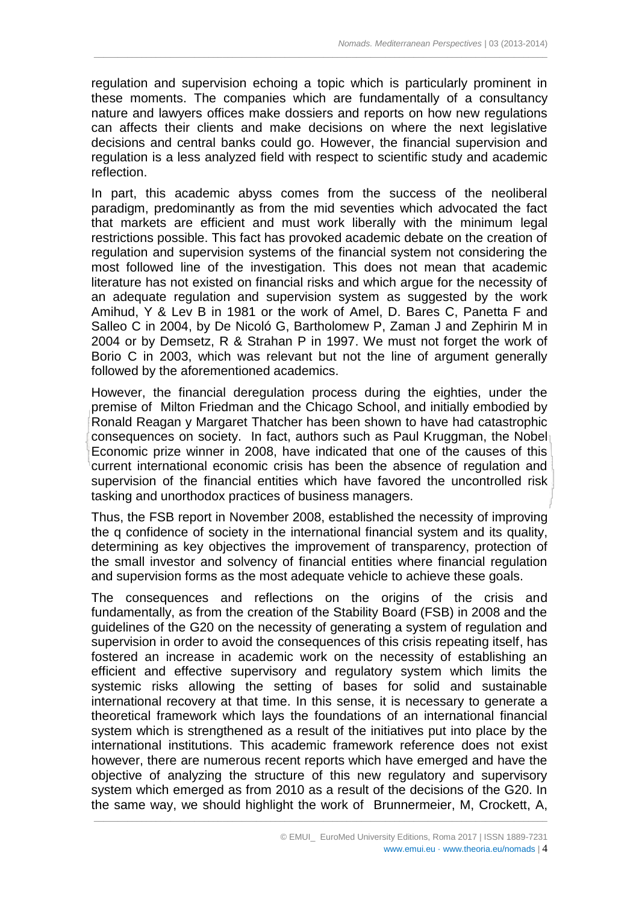regulation and supervision echoing a topic which is particularly prominent in these moments. The companies which are fundamentally of a consultancy nature and lawyers offices make dossiers and reports on how new regulations can affects their clients and make decisions on where the next legislative decisions and central banks could go. However, the financial supervision and regulation is a less analyzed field with respect to scientific study and academic reflection.

 $\_$  ,  $\_$  ,  $\_$  ,  $\_$  ,  $\_$  ,  $\_$  ,  $\_$  ,  $\_$  ,  $\_$  ,  $\_$  ,  $\_$  ,  $\_$  ,  $\_$  ,  $\_$  ,  $\_$  ,  $\_$  ,  $\_$  ,  $\_$  ,  $\_$  ,  $\_$  ,  $\_$  ,  $\_$  ,  $\_$  ,  $\_$  ,  $\_$  ,  $\_$  ,  $\_$  ,  $\_$  ,  $\_$  ,  $\_$  ,  $\_$  ,  $\_$  ,  $\_$  ,  $\_$  ,  $\_$  ,  $\_$  ,  $\_$  ,

In part, this academic abyss comes from the success of the neoliberal paradigm, predominantly as from the mid seventies which advocated the fact that markets are efficient and must work liberally with the minimum legal restrictions possible. This fact has provoked academic debate on the creation of regulation and supervision systems of the financial system not considering the most followed line of the investigation. This does not mean that academic literature has not existed on financial risks and which argue for the necessity of an adequate regulation and supervision system as suggested by the work Amihud, Y & Lev B in 1981 or the work of Amel, D. Bares C, Panetta F and Salleo C in 2004, by De Nicoló G, Bartholomew P, Zaman J and Zephirin M in 2004 or by Demsetz, R & Strahan P in 1997. We must not forget the work of Borio C in 2003, which was relevant but not the line of argument generally followed by the aforementioned academics.

However, the financial deregulation process during the eighties, under the premise of Milton Friedman and the Chicago School, and initially embodied by Ronald Reagan y Margaret Thatcher has been shown to have had catastrophic consequences on society. In fact, authors such as Paul Kruggman, the Nobel Economic prize winner in 2008, have indicated that one of the causes of this current international economic crisis has been the absence of regulation and supervision of the financial entities which have favored the uncontrolled risk tasking and unorthodox practices of business managers.

Thus, the FSB report in November 2008, established the necessity of improving the q confidence of society in the international financial system and its quality, determining as key objectives the improvement of transparency, protection of the small investor and solvency of financial entities where financial regulation and supervision forms as the most adequate vehicle to achieve these goals.

The consequences and reflections on the origins of the crisis and fundamentally, as from the creation of the Stability Board (FSB) in 2008 and the guidelines of the G20 on the necessity of generating a system of regulation and supervision in order to avoid the consequences of this crisis repeating itself, has fostered an increase in academic work on the necessity of establishing an efficient and effective supervisory and regulatory system which limits the systemic risks allowing the setting of bases for solid and sustainable international recovery at that time. In this sense, it is necessary to generate a theoretical framework which lays the foundations of an international financial system which is strengthened as a result of the initiatives put into place by the international institutions. This academic framework reference does not exist however, there are numerous recent reports which have emerged and have the objective of analyzing the structure of this new regulatory and supervisory system which emerged as from 2010 as a result of the decisions of the G20. In the same way, we should highlight the work of Brunnermeier, M, Crockett, A,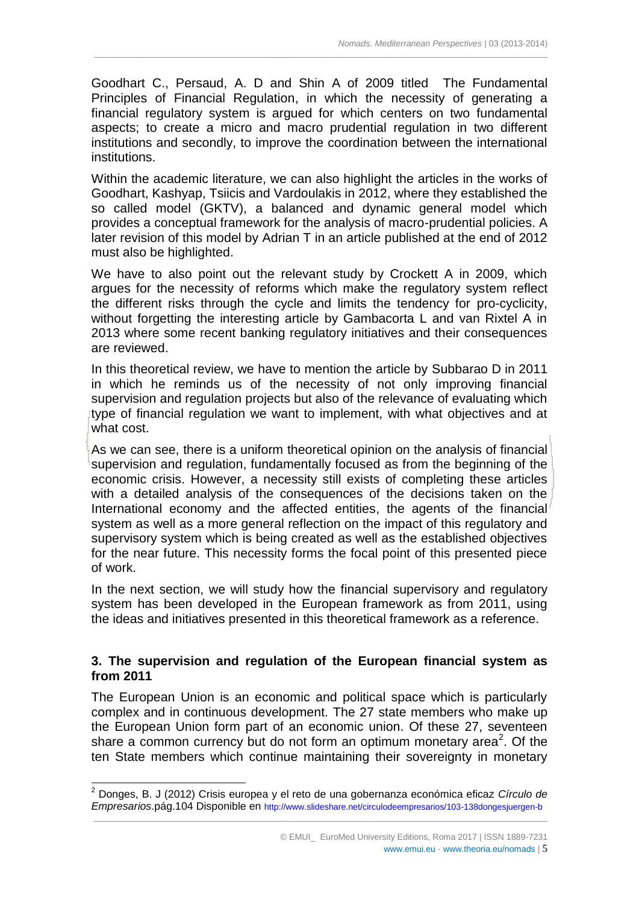Goodhart C., Persaud, A. D and Shin A of 2009 titled The Fundamental Principles of Financial Regulation, in which the necessity of generating a financial regulatory system is argued for which centers on two fundamental aspects; to create a micro and macro prudential regulation in two different institutions and secondly, to improve the coordination between the international institutions.

 $\_$  ,  $\_$  ,  $\_$  ,  $\_$  ,  $\_$  ,  $\_$  ,  $\_$  ,  $\_$  ,  $\_$  ,  $\_$  ,  $\_$  ,  $\_$  ,  $\_$  ,  $\_$  ,  $\_$  ,  $\_$  ,  $\_$  ,  $\_$  ,  $\_$  ,  $\_$  ,  $\_$  ,  $\_$  ,  $\_$  ,  $\_$  ,  $\_$  ,  $\_$  ,  $\_$  ,  $\_$  ,  $\_$  ,  $\_$  ,  $\_$  ,  $\_$  ,  $\_$  ,  $\_$  ,  $\_$  ,  $\_$  ,  $\_$  ,

Within the academic literature, we can also highlight the articles in the works of Goodhart, Kashyap, Tsiicis and Vardoulakis in 2012, where they established the so called model (GKTV), a balanced and dynamic general model which provides a conceptual framework for the analysis of macro-prudential policies. A later revision of this model by Adrian T in an article published at the end of 2012 must also be highlighted.

We have to also point out the relevant study by Crockett A in 2009, which argues for the necessity of reforms which make the regulatory system reflect the different risks through the cycle and limits the tendency for pro-cyclicity, without forgetting the interesting article by Gambacorta L and van Rixtel A in 2013 where some recent banking regulatory initiatives and their consequences are reviewed.

In this theoretical review, we have to mention the article by Subbarao D in 2011 in which he reminds us of the necessity of not only improving financial supervision and regulation projects but also of the relevance of evaluating which type of financial regulation we want to implement, with what objectives and at what cost.

As we can see, there is a uniform theoretical opinion on the analysis of financial supervision and regulation, fundamentally focused as from the beginning of the economic crisis. However, a necessity still exists of completing these articles with a detailed analysis of the consequences of the decisions taken on the International economy and the affected entities, the agents of the financial system as well as a more general reflection on the impact of this regulatory and supervisory system which is being created as well as the established objectives for the near future. This necessity forms the focal point of this presented piece of work.

In the next section, we will study how the financial supervisory and regulatory system has been developed in the European framework as from 2011, using the ideas and initiatives presented in this theoretical framework as a reference.

## **3. The supervision and regulation of the European financial system as from 2011**

The European Union is an economic and political space which is particularly complex and in continuous development. The 27 state members who make up the European Union form part of an economic union. Of these 27, seventeen share a common currency but do not form an optimum monetary area<sup>2</sup>. Of the ten State members which continue maintaining their sovereignty in monetary

-

 $\_$  , and the state of the state of the state of the state of the state of the state of the state of the state of the state of the state of the state of the state of the state of the state of the state of the state of the <sup>2</sup> Donges, B. J (2012) Crisis europea y el reto de una gobernanza económica eficaz *Círculo de Empresarios*.pág.104 Disponible en <http://www.slideshare.net/circulodeempresarios/103-138dongesjuergen-b>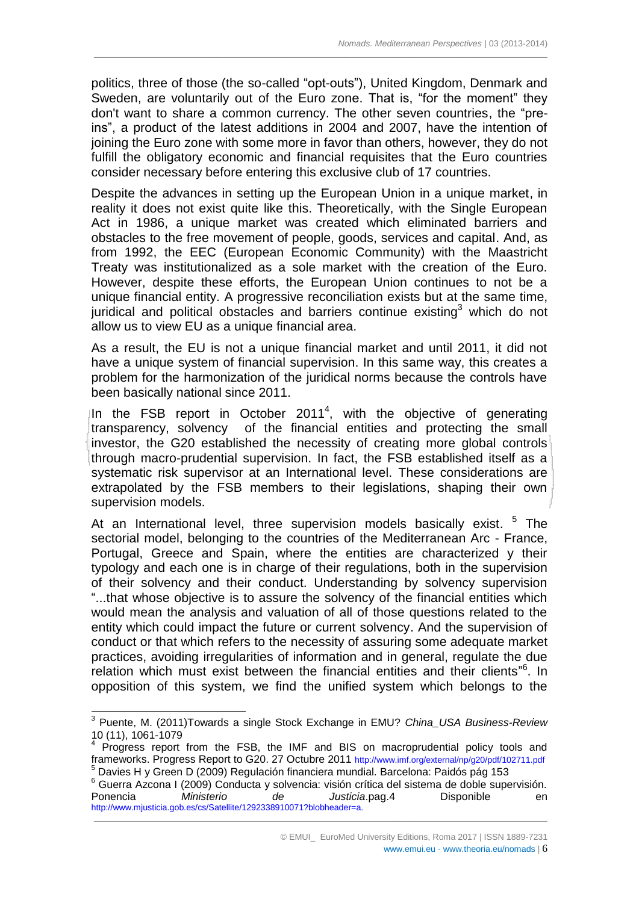politics, three of those (the so-called "opt-outs"), United Kingdom, Denmark and Sweden, are voluntarily out of the Euro zone. That is, "for the moment" they don't want to share a common currency. The other seven countries, the "preins", a product of the latest additions in 2004 and 2007, have the intention of joining the Euro zone with some more in favor than others, however, they do not fulfill the obligatory economic and financial requisites that the Euro countries consider necessary before entering this exclusive club of 17 countries.

 $\_$  ,  $\_$  ,  $\_$  ,  $\_$  ,  $\_$  ,  $\_$  ,  $\_$  ,  $\_$  ,  $\_$  ,  $\_$  ,  $\_$  ,  $\_$  ,  $\_$  ,  $\_$  ,  $\_$  ,  $\_$  ,  $\_$  ,  $\_$  ,  $\_$  ,  $\_$  ,  $\_$  ,  $\_$  ,  $\_$  ,  $\_$  ,  $\_$  ,  $\_$  ,  $\_$  ,  $\_$  ,  $\_$  ,  $\_$  ,  $\_$  ,  $\_$  ,  $\_$  ,  $\_$  ,  $\_$  ,  $\_$  ,  $\_$  ,

Despite the advances in setting up the European Union in a unique market, in reality it does not exist quite like this. Theoretically, with the Single European Act in 1986, a unique market was created which eliminated barriers and obstacles to the free movement of people, goods, services and capital. And, as from 1992, the EEC (European Economic Community) with the Maastricht Treaty was institutionalized as a sole market with the creation of the Euro. However, despite these efforts, the European Union continues to not be a unique financial entity. A progressive reconciliation exists but at the same time, juridical and political obstacles and barriers continue existing $3$  which do not allow us to view EU as a unique financial area.

As a result, the EU is not a unique financial market and until 2011, it did not have a unique system of financial supervision. In this same way, this creates a problem for the harmonization of the juridical norms because the controls have been basically national since 2011.

In the FSB report in October 2011<sup>4</sup>, with the objective of generating transparency, solvency of the financial entities and protecting the small investor, the G20 established the necessity of creating more global controls through macro-prudential supervision. In fact, the FSB established itself as a systematic risk supervisor at an International level. These considerations are extrapolated by the FSB members to their legislations, shaping their own supervision models.

At an International level, three supervision models basically exist. <sup>5</sup> The sectorial model, belonging to the countries of the Mediterranean Arc - France, Portugal, Greece and Spain, where the entities are characterized y their typology and each one is in charge of their regulations, both in the supervision of their solvency and their conduct. Understanding by solvency supervision "...that whose objective is to assure the solvency of the financial entities which would mean the analysis and valuation of all of those questions related to the entity which could impact the future or current solvency. And the supervision of conduct or that which refers to the necessity of assuring some adequate market practices, avoiding irregularities of information and in general, regulate the due relation which must exist between the financial entities and their clients"<sup>6</sup>. In opposition of this system, we find the unified system which belongs to the

 3 Puente, M. (2011)Towards a single Stock Exchange in EMU? *China\_USA Business-Review* 10 (11), 1061-1079 4

Progress report from the FSB, the IMF and BIS on macroprudential policy tools and frameworks. Progress Report to G20. 27 Octubre 2011 <http://www.imf.org/external/np/g20/pdf/102711.pdf>

<sup>&</sup>lt;sup>5</sup> Davies H y Green D (2009) Regulación financiera mundial. Barcelona: Paidós pág 153

<sup>&</sup>lt;sup>6</sup> Guerra Azcona I (2009) Conducta y solvencia: visión crítica del sistema de doble supervisión. Ponencia *Ministerio de Justicia*.pag.4 Disponible en <http://www.mjusticia.gob.es/cs/Satellite/1292338910071?blobheader=a.>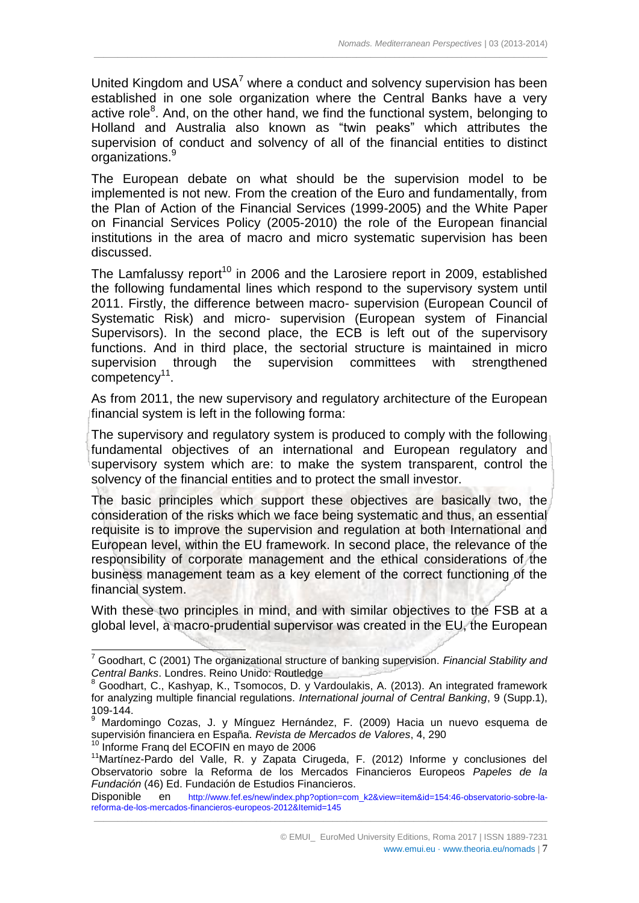United Kingdom and USA $<sup>7</sup>$  where a conduct and solvency supervision has been</sup> established in one sole organization where the Central Banks have a very active role<sup>8</sup>. And, on the other hand, we find the functional system, belonging to Holland and Australia also known as "twin peaks" which attributes the supervision of conduct and solvency of all of the financial entities to distinct organizations.<sup>9</sup>

 $\_$  ,  $\_$  ,  $\_$  ,  $\_$  ,  $\_$  ,  $\_$  ,  $\_$  ,  $\_$  ,  $\_$  ,  $\_$  ,  $\_$  ,  $\_$  ,  $\_$  ,  $\_$  ,  $\_$  ,  $\_$  ,  $\_$  ,  $\_$  ,  $\_$  ,  $\_$  ,  $\_$  ,  $\_$  ,  $\_$  ,  $\_$  ,  $\_$  ,  $\_$  ,  $\_$  ,  $\_$  ,  $\_$  ,  $\_$  ,  $\_$  ,  $\_$  ,  $\_$  ,  $\_$  ,  $\_$  ,  $\_$  ,  $\_$  ,

The European debate on what should be the supervision model to be implemented is not new. From the creation of the Euro and fundamentally, from the Plan of Action of the Financial Services (1999-2005) and the White Paper on Financial Services Policy (2005-2010) the role of the European financial institutions in the area of macro and micro systematic supervision has been discussed.

The Lamfalussy report<sup>10</sup> in 2006 and the Larosiere report in 2009, established the following fundamental lines which respond to the supervisory system until 2011. Firstly, the difference between macro- supervision (European Council of Systematic Risk) and micro- supervision (European system of Financial Supervisors). In the second place, the ECB is left out of the supervisory functions. And in third place, the sectorial structure is maintained in micro supervision through the supervision committees with strengthened competency<sup>11</sup>.

As from 2011, the new supervisory and regulatory architecture of the European financial system is left in the following forma:

The supervisory and regulatory system is produced to comply with the following fundamental objectives of an international and European regulatory and supervisory system which are: to make the system transparent, control the solvency of the financial entities and to protect the small investor.

The basic principles which support these objectives are basically two, the consideration of the risks which we face being systematic and thus, an essential requisite is to improve the supervision and regulation at both International and European level, within the EU framework. In second place, the relevance of the responsibility of corporate management and the ethical considerations of the business management team as a key element of the correct functioning of the financial system.

With these two principles in mind, and with similar objectives to the FSB at a global level, a macro-prudential supervisor was created in the EU, the European

-

<sup>7</sup> Goodhart, C (2001) The organizational structure of banking supervision. *Financial Stability and Central Banks*. Londres. Reino Unido: Routledge

<sup>8</sup> Goodhart, C., Kashyap, K., Tsomocos, D. y Vardoulakis, A. (2013). An integrated framework for analyzing multiple financial regulations. *International journal of Central Banking*, 9 (Supp.1), 109-144.

<sup>&</sup>lt;sup>9</sup> Mardomingo Cozas, J. y Mínguez Hernández, F. (2009) Hacia un nuevo esquema de supervisión financiera en España. *Revista de Mercados de Valores*, 4, 290

Informe Franq del ECOFIN en mayo de 2006

<sup>&</sup>lt;sup>11</sup>Martínez-Pardo del Valle, R. y Zapata Cirugeda, F. (2012) Informe y conclusiones del Observatorio sobre la Reforma de los Mercados Financieros Europeos *Papeles de la Fundación* (46) Ed. Fundación de Estudios Financieros.

 $\_$  , and the state of the state of the state of the state of the state of the state of the state of the state of the state of the state of the state of the state of the state of the state of the state of the state of the Disponible en [http://www.fef.es/new/index.php?option=com\\_k2&view=item&id=154:46-observatorio-sobre-la](http://www.fef.es/new/index.php?option=com_k2&view=item&id=154:46-observatorio-sobre-la-reforma-de-los-mercados-financieros-europeos-2012&Itemid=145)[reforma-de-los-mercados-financieros-europeos-2012&Itemid=145](http://www.fef.es/new/index.php?option=com_k2&view=item&id=154:46-observatorio-sobre-la-reforma-de-los-mercados-financieros-europeos-2012&Itemid=145)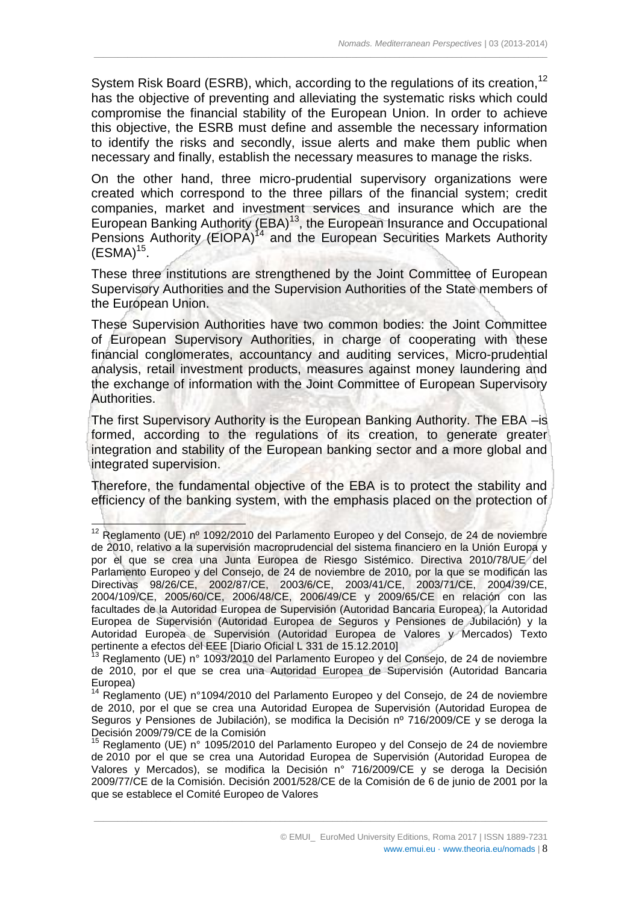System Risk Board (ESRB), which, according to the regulations of its creation,<sup>12</sup> has the objective of preventing and alleviating the systematic risks which could compromise the financial stability of the European Union. In order to achieve this objective, the ESRB must define and assemble the necessary information to identify the risks and secondly, issue alerts and make them public when necessary and finally, establish the necessary measures to manage the risks.

 $\_$  ,  $\_$  ,  $\_$  ,  $\_$  ,  $\_$  ,  $\_$  ,  $\_$  ,  $\_$  ,  $\_$  ,  $\_$  ,  $\_$  ,  $\_$  ,  $\_$  ,  $\_$  ,  $\_$  ,  $\_$  ,  $\_$  ,  $\_$  ,  $\_$  ,  $\_$  ,  $\_$  ,  $\_$  ,  $\_$  ,  $\_$  ,  $\_$  ,  $\_$  ,  $\_$  ,  $\_$  ,  $\_$  ,  $\_$  ,  $\_$  ,  $\_$  ,  $\_$  ,  $\_$  ,  $\_$  ,  $\_$  ,  $\_$  ,

On the other hand, three micro-prudential supervisory organizations were created which correspond to the three pillars of the financial system; credit companies, market and investment services and insurance which are the European Banking Authority (EBA)<sup>13</sup>, the European Insurance and Occupational Pensions Authority (EIOPA)<sup>14</sup> and the European Securities Markets Authority  $(ESMA)^{15}$ .

These three institutions are strengthened by the Joint Committee of European Supervisory Authorities and the Supervision Authorities of the State members of the European Union.

These Supervision Authorities have two common bodies: the Joint Committee of European Supervisory Authorities, in charge of cooperating with these financial conglomerates, accountancy and auditing services, Micro-prudential analysis, retail investment products, measures against money laundering and the exchange of information with the Joint Committee of European Supervisory Authorities.

The first Supervisory Authority is the European Banking Authority. The EBA –is formed, according to the regulations of its creation, to generate greater integration and stability of the European banking sector and a more global and integrated supervision.

Therefore, the fundamental objective of the EBA is to protect the stability and efficiency of the banking system, with the emphasis placed on the protection of

-

<sup>&</sup>lt;sup>12</sup> Reglamento (UE) nº 1092/2010 del Parlamento Europeo y del Consejo, de 24 de noviembre de 2010, relativo a la supervisión macroprudencial del sistema financiero en la Unión Europa y por el que se crea una Junta Europea de Riesgo Sistémico. Directiva 2010/78/UE del Parlamento Europeo y del Consejo, de 24 de noviembre de 2010, por la que se modifican las Directivas 98/26/CE, 2002/87/CE, 2003/6/CE, 2003/41/CE, 2003/71/CE, 2004/39/CE, 2004/109/CE, 2005/60/CE, 2006/48/CE, 2006/49/CE y 2009/65/CE en relación con las facultades de la Autoridad Europea de Supervisión (Autoridad Bancaria Europea), la Autoridad Europea de Supervisión (Autoridad Europea de Seguros y Pensiones de Jubilación) y la Autoridad Europea de Supervisión (Autoridad Europea de Valores y Mercados) Texto pertinente a efectos del EEE [Diario Oficial L 331 de 15.12.2010]

Reglamento (UE) n° 1093/2010 del Parlamento Europeo y del Consejo, de 24 de noviembre de 2010, por el que se crea una Autoridad Europea de Supervisión (Autoridad Bancaria Europea)

<sup>&</sup>lt;sup>14</sup> Reglamento (UE) n°1094/2010 del Parlamento Europeo y del Consejo, de 24 de noviembre de 2010, por el que se crea una Autoridad Europea de Supervisión (Autoridad Europea de Seguros y Pensiones de Jubilación), se modifica la Decisión nº 716/2009/CE y se deroga la Decisión 2009/79/CE de la Comisión

Reglamento (UE) n° [1095/2010](http://eur-lex.europa.eu/LexUriServ/LexUriServ.do?uri=CELEX:32010R1095:ES:NOT) del Parlamento Europeo y del Consejo de 24 de noviembre de 2010 por el que se crea una Autoridad Europea de Supervisión (Autoridad Europea de Valores y Mercados), se modifica la Decisión n° 716/2009/CE y se deroga la Decisión 2009/77/CE de la Comisión. [Decisión 2001/528/CE](http://europa.eu/legislation_summaries/internal_market/single_market_services/financial_services_transactions_in_securities/l22023_es.htm) de la Comisión de 6 de junio de 2001 por la que se establece el Comité Europeo de Valores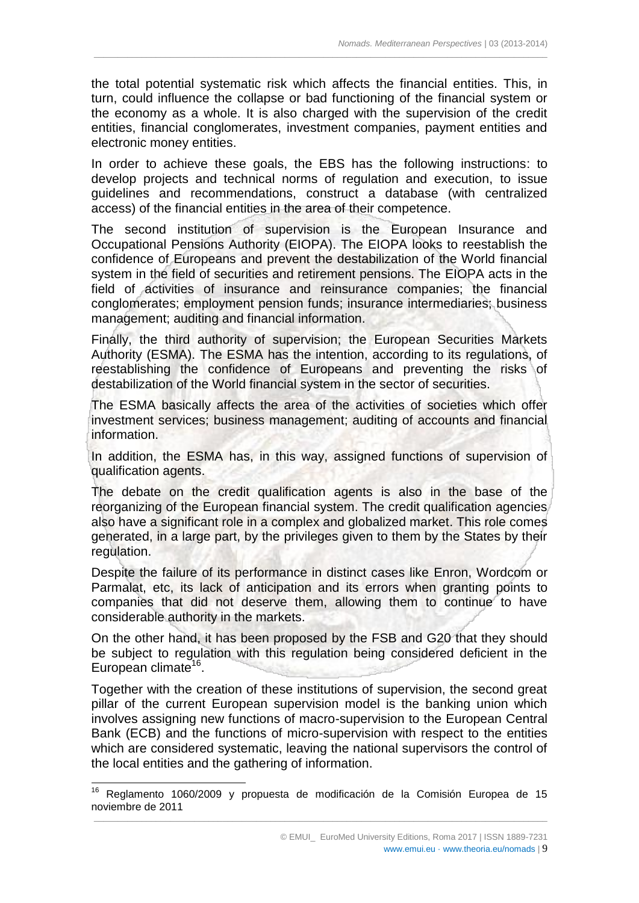the total potential systematic risk which affects the financial entities. This, in turn, could influence the collapse or bad functioning of the financial system or the economy as a whole. It is also charged with the supervision of the credit entities, financial conglomerates, investment companies, payment entities and electronic money entities.

 $\_$  ,  $\_$  ,  $\_$  ,  $\_$  ,  $\_$  ,  $\_$  ,  $\_$  ,  $\_$  ,  $\_$  ,  $\_$  ,  $\_$  ,  $\_$  ,  $\_$  ,  $\_$  ,  $\_$  ,  $\_$  ,  $\_$  ,  $\_$  ,  $\_$  ,  $\_$  ,  $\_$  ,  $\_$  ,  $\_$  ,  $\_$  ,  $\_$  ,  $\_$  ,  $\_$  ,  $\_$  ,  $\_$  ,  $\_$  ,  $\_$  ,  $\_$  ,  $\_$  ,  $\_$  ,  $\_$  ,  $\_$  ,  $\_$  ,

In order to achieve these goals, the EBS has the following instructions: to develop projects and technical norms of regulation and execution, to issue guidelines and recommendations, construct a database (with centralized access) of the financial entities in the area of their competence.

The second institution of supervision is the European Insurance and Occupational Pensions Authority (EIOPA). The EIOPA looks to reestablish the confidence of Europeans and prevent the destabilization of the World financial system in the field of securities and retirement pensions. The EIOPA acts in the field of activities of insurance and reinsurance companies; the financial conglomerates; employment pension funds; insurance intermediaries; business management; auditing and financial information.

Finally, the third authority of supervision; the European Securities Markets Authority (ESMA). The ESMA has the intention, according to its regulations, of reestablishing the confidence of Europeans and preventing the risks of destabilization of the World financial system in the sector of securities.

The ESMA basically affects the area of the activities of societies which offer investment services; business management; auditing of accounts and financial information.

In addition, the ESMA has, in this way, assigned functions of supervision of qualification agents.

The debate on the credit qualification agents is also in the base of the reorganizing of the European financial system. The credit qualification agencies also have a significant role in a complex and globalized market. This role comes generated, in a large part, by the privileges given to them by the States by their regulation.

Despite the failure of its performance in distinct cases like Enron, Wordcom or Parmalat, etc, its lack of anticipation and its errors when granting points to companies that did not deserve them, allowing them to continue to have considerable authority in the markets.

On the other hand, it has been proposed by the FSB and G20 that they should be subject to regulation with this regulation being considered deficient in the European climate<sup>16</sup>.

Together with the creation of these institutions of supervision, the second great pillar of the current European supervision model is the banking union which involves assigning new functions of macro-supervision to the European Central Bank (ECB) and the functions of micro-supervision with respect to the entities which are considered systematic, leaving the national supervisors the control of the local entities and the gathering of information.

-

 $\_$  , and the state of the state of the state of the state of the state of the state of the state of the state of the state of the state of the state of the state of the state of the state of the state of the state of the <sup>16</sup> Reglamento 1060/2009 y propuesta de modificación de la Comisión Europea de 15 noviembre de 2011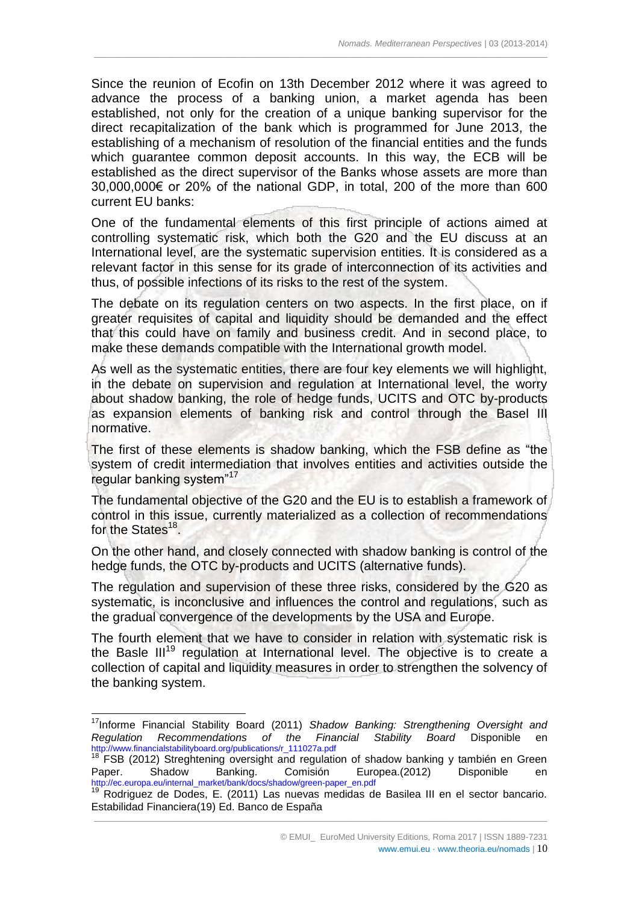Since the reunion of Ecofin on 13th December 2012 where it was agreed to advance the process of a banking union, a market agenda has been established, not only for the creation of a unique banking supervisor for the direct recapitalization of the bank which is programmed for June 2013, the establishing of a mechanism of resolution of the financial entities and the funds which guarantee common deposit accounts. In this way, the ECB will be established as the direct supervisor of the Banks whose assets are more than 30,000,000€ or 20% of the national GDP, in total, 200 of the more than 600 current EU banks:

 $\_$  ,  $\_$  ,  $\_$  ,  $\_$  ,  $\_$  ,  $\_$  ,  $\_$  ,  $\_$  ,  $\_$  ,  $\_$  ,  $\_$  ,  $\_$  ,  $\_$  ,  $\_$  ,  $\_$  ,  $\_$  ,  $\_$  ,  $\_$  ,  $\_$  ,  $\_$  ,  $\_$  ,  $\_$  ,  $\_$  ,  $\_$  ,  $\_$  ,  $\_$  ,  $\_$  ,  $\_$  ,  $\_$  ,  $\_$  ,  $\_$  ,  $\_$  ,  $\_$  ,  $\_$  ,  $\_$  ,  $\_$  ,  $\_$  ,

One of the fundamental elements of this first principle of actions aimed at controlling systematic risk, which both the G20 and the EU discuss at an International level, are the systematic supervision entities. It is considered as a relevant factor in this sense for its grade of interconnection of its activities and thus, of possible infections of its risks to the rest of the system.

The debate on its regulation centers on two aspects. In the first place, on if greater requisites of capital and liquidity should be demanded and the effect that this could have on family and business credit. And in second place, to make these demands compatible with the International growth model.

As well as the systematic entities, there are four key elements we will highlight, in the debate on supervision and regulation at International level, the worry about shadow banking, the role of hedge funds, UCITS and OTC by-products as expansion elements of banking risk and control through the Basel III normative.

The first of these elements is shadow banking, which the FSB define as "the system of credit intermediation that involves entities and activities outside the regular banking system"<sup>17</sup>

The fundamental objective of the G20 and the EU is to establish a framework of control in this issue, currently materialized as a collection of recommendations for the States<sup>18</sup>.

On the other hand, and closely connected with shadow banking is control of the hedge funds, the OTC by-products and UCITS (alternative funds).

The regulation and supervision of these three risks, considered by the G20 as systematic, is inconclusive and influences the control and regulations, such as the gradual convergence of the developments by the USA and Europe.

The fourth element that we have to consider in relation with systematic risk is the Basle  $III^{19}$  regulation at International level. The objective is to create a collection of capital and liquidity measures in order to strengthen the solvency of the banking system.

1

<sup>&</sup>lt;sup>17</sup>Informe Financial Stability Board (2011) Shadow Banking: Strengthening Oversight and *Regulation Recommendations of the Financial Stability Board* Disponible en [http://www.financialstabilityboard.org/publications/r\\_111027a.pdf](http://www.financialstabilityboard.org/publications/r_111027a.pdf)<br><sup>18</sup> FSB (2012) Streghtening oversight and regulation of shadow banking y también en Green

Paper. Shadow Banking. Comisión Europea.(2012) Disponible en [http://ec.europa.eu/internal\\_market/bank/docs/shadow/green-paper\\_en.pdf](http://ec.europa.eu/internal_market/bank/docs/shadow/green-paper_en.pdf)

 $\_$  , and the state of the state of the state of the state of the state of the state of the state of the state of the state of the state of the state of the state of the state of the state of the state of the state of the <sup>19</sup> Rodriguez de Dodes, E. (2011) Las nuevas medidas de Basilea III en el sector bancario. Estabilidad Financiera(19) Ed. Banco de España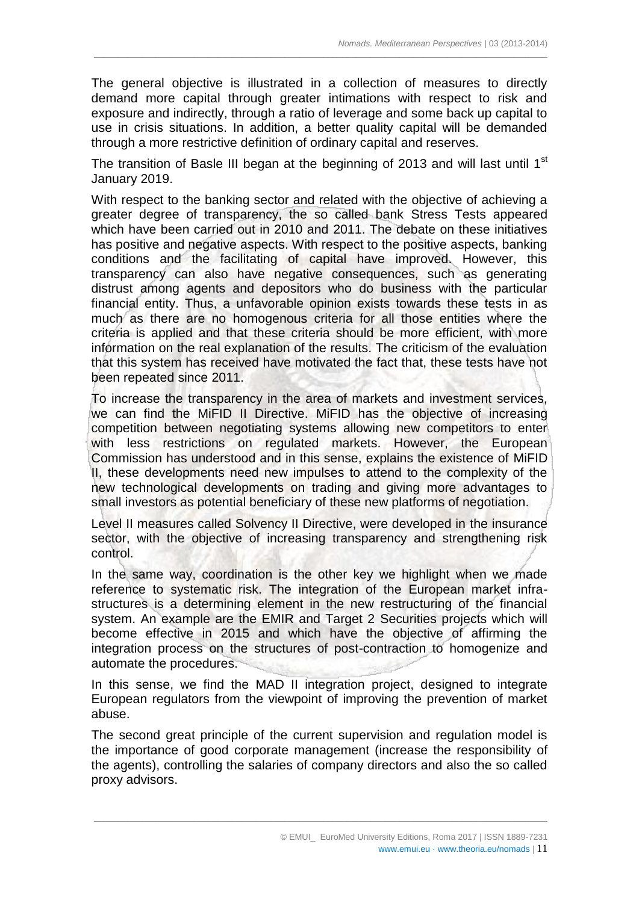The general objective is illustrated in a collection of measures to directly demand more capital through greater intimations with respect to risk and exposure and indirectly, through a ratio of leverage and some back up capital to use in crisis situations. In addition, a better quality capital will be demanded through a more restrictive definition of ordinary capital and reserves.

 $\_$  ,  $\_$  ,  $\_$  ,  $\_$  ,  $\_$  ,  $\_$  ,  $\_$  ,  $\_$  ,  $\_$  ,  $\_$  ,  $\_$  ,  $\_$  ,  $\_$  ,  $\_$  ,  $\_$  ,  $\_$  ,  $\_$  ,  $\_$  ,  $\_$  ,  $\_$  ,  $\_$  ,  $\_$  ,  $\_$  ,  $\_$  ,  $\_$  ,  $\_$  ,  $\_$  ,  $\_$  ,  $\_$  ,  $\_$  ,  $\_$  ,  $\_$  ,  $\_$  ,  $\_$  ,  $\_$  ,  $\_$  ,  $\_$  ,

The transition of Basle III began at the beginning of 2013 and will last until 1<sup>st</sup> January 2019.

With respect to the banking sector and related with the objective of achieving a greater degree of transparency, the so called bank Stress Tests appeared which have been carried out in 2010 and 2011. The debate on these initiatives has positive and negative aspects. With respect to the positive aspects, banking conditions and the facilitating of capital have improved. However, this transparency can also have negative consequences, such as generating distrust among agents and depositors who do business with the particular financial entity. Thus, a unfavorable opinion exists towards these tests in as much as there are no homogenous criteria for all those entities where the criteria is applied and that these criteria should be more efficient, with more information on the real explanation of the results. The criticism of the evaluation that this system has received have motivated the fact that, these tests have not been repeated since 2011.

To increase the transparency in the area of markets and investment services, we can find the MiFID II Directive. MiFID has the objective of increasing competition between negotiating systems allowing new competitors to enter with less restrictions on regulated markets. However, the European Commission has understood and in this sense, explains the existence of MiFID II, these developments need new impulses to attend to the complexity of the new technological developments on trading and giving more advantages to small investors as potential beneficiary of these new platforms of negotiation.

Level II measures called Solvency II Directive, were developed in the insurance sector, with the objective of increasing transparency and strengthening risk control.

In the same way, coordination is the other key we highlight when we made reference to systematic risk. The integration of the European market infrastructures is a determining element in the new restructuring of the financial system. An example are the EMIR and Target 2 Securities projects which will become effective in 2015 and which have the objective of affirming the integration process on the structures of post-contraction to homogenize and automate the procedures.

In this sense, we find the MAD II integration project, designed to integrate European regulators from the viewpoint of improving the prevention of market abuse.

The second great principle of the current supervision and regulation model is the importance of good corporate management (increase the responsibility of the agents), controlling the salaries of company directors and also the so called proxy advisors.

© EMUI\_ EuroMed University Editions, Roma 2017 | ISSN 1889-7231 www.emui.eu · www.theoria.eu/nomads | 11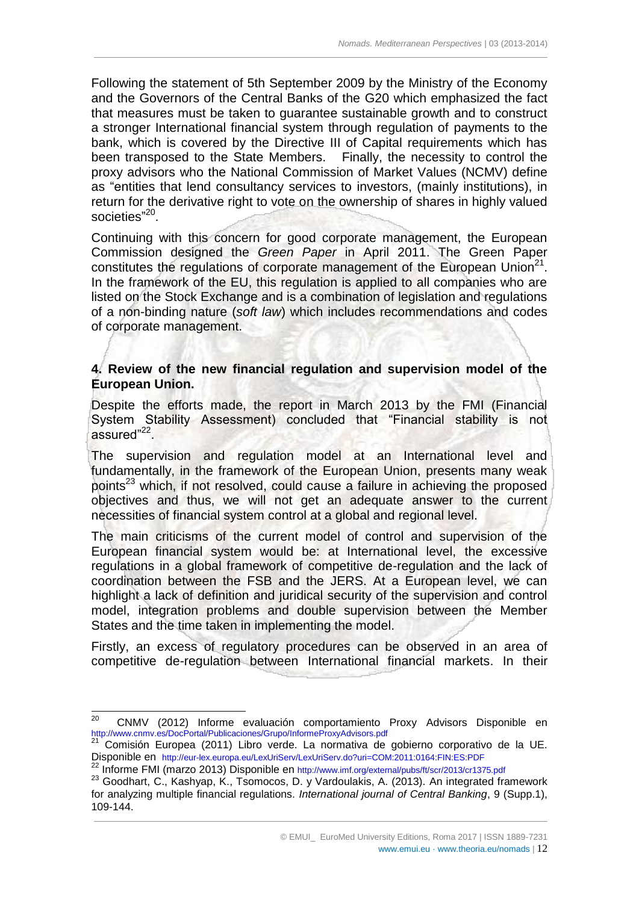Following the statement of 5th September 2009 by the Ministry of the Economy and the Governors of the Central Banks of the G20 which emphasized the fact that measures must be taken to guarantee sustainable growth and to construct a stronger International financial system through regulation of payments to the bank, which is covered by the Directive III of Capital requirements which has been transposed to the State Members. Finally, the necessity to control the proxy advisors who the National Commission of Market Values (NCMV) define as "entities that lend consultancy services to investors, (mainly institutions), in return for the derivative right to vote on the ownership of shares in highly valued societies"<sup>20</sup>.

 $\_$  ,  $\_$  ,  $\_$  ,  $\_$  ,  $\_$  ,  $\_$  ,  $\_$  ,  $\_$  ,  $\_$  ,  $\_$  ,  $\_$  ,  $\_$  ,  $\_$  ,  $\_$  ,  $\_$  ,  $\_$  ,  $\_$  ,  $\_$  ,  $\_$  ,  $\_$  ,  $\_$  ,  $\_$  ,  $\_$  ,  $\_$  ,  $\_$  ,  $\_$  ,  $\_$  ,  $\_$  ,  $\_$  ,  $\_$  ,  $\_$  ,  $\_$  ,  $\_$  ,  $\_$  ,  $\_$  ,  $\_$  ,  $\_$  ,

Continuing with this concern for good corporate management, the European Commission designed the *Green Paper* in April 2011. The Green Paper constitutes the regulations of corporate management of the European Union<sup>21</sup>. In the framework of the EU, this regulation is applied to all companies who are listed on the Stock Exchange and is a combination of legislation and regulations of a non-binding nature (*soft law*) which includes recommendations and codes of corporate management.

#### **4. Review of the new financial regulation and supervision model of the European Union.**

Despite the efforts made, the report in March 2013 by the FMI (Financial System Stability Assessment) concluded that "Financial stability is not assured"<sup>22</sup>.

The supervision and regulation model at an International level and fundamentally, in the framework of the European Union, presents many weak points<sup>23</sup> which, if not resolved, could cause a failure in achieving the proposed objectives and thus, we will not get an adequate answer to the current necessities of financial system control at a global and regional level.

The main criticisms of the current model of control and supervision of the European financial system would be: at International level, the excessive regulations in a global framework of competitive de-regulation and the lack of coordination between the FSB and the JERS. At a European level, we can highlight a lack of definition and juridical security of the supervision and control model, integration problems and double supervision between the Member States and the time taken in implementing the model.

Firstly, an excess of regulatory procedures can be observed in an area of competitive de-regulation between International financial markets. In their

 $\frac{1}{20}$  CNMV (2012) Informe evaluación comportamiento Proxy Advisors Disponible en <http://www.cnmv.es/DocPortal/Publicaciones/Grupo/InformeProxyAdvisors.pdf><br><sup>21</sup> Comisión Europea (2011) Libro verde. La normativa de gobierno corporativo de la UE.

Disponible en <http://eur-lex.europa.eu/LexUriServ/LexUriServ.do?uri=COM:2011:0164:FIN:ES:PDF>

<sup>&</sup>lt;sup>22</sup> Informe FMI (marzo 2013) Disponible en <http://www.imf.org/external/pubs/ft/scr/2013/cr1375.pdf>

 $\_$  , and the state of the state of the state of the state of the state of the state of the state of the state of the state of the state of the state of the state of the state of the state of the state of the state of the <sup>23</sup> Goodhart, C., Kashyap, K., Tsomocos, D. y Vardoulakis, A. (2013). An integrated framework for analyzing multiple financial regulations. *International journal of Central Banking*, 9 (Supp.1), 109-144.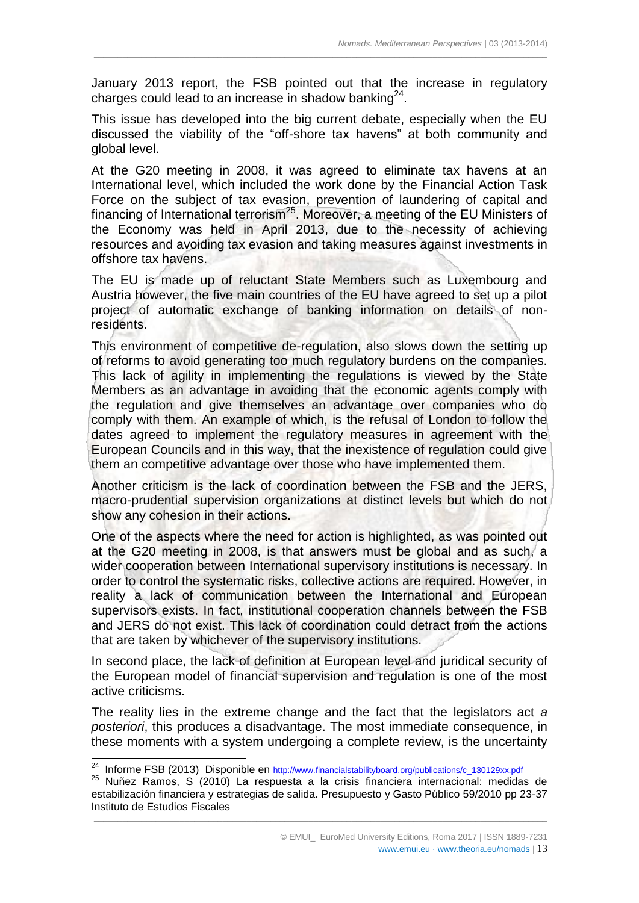January 2013 report, the FSB pointed out that the increase in regulatory charges could lead to an increase in shadow banking $^{24}$ .

 $\_$  ,  $\_$  ,  $\_$  ,  $\_$  ,  $\_$  ,  $\_$  ,  $\_$  ,  $\_$  ,  $\_$  ,  $\_$  ,  $\_$  ,  $\_$  ,  $\_$  ,  $\_$  ,  $\_$  ,  $\_$  ,  $\_$  ,  $\_$  ,  $\_$  ,  $\_$  ,  $\_$  ,  $\_$  ,  $\_$  ,  $\_$  ,  $\_$  ,  $\_$  ,  $\_$  ,  $\_$  ,  $\_$  ,  $\_$  ,  $\_$  ,  $\_$  ,  $\_$  ,  $\_$  ,  $\_$  ,  $\_$  ,  $\_$  ,

This issue has developed into the big current debate, especially when the EU discussed the viability of the "off-shore tax havens" at both community and global level.

At the G20 meeting in 2008, it was agreed to eliminate tax havens at an International level, which included the work done by the Financial Action Task Force on the subject of tax evasion, prevention of laundering of capital and financing of International terrorism<sup>25</sup>. Moreover, a meeting of the EU Ministers of the Economy was held in April 2013, due to the necessity of achieving resources and avoiding tax evasion and taking measures against investments in offshore tax havens.

The EU is made up of reluctant State Members such as Luxembourg and Austria however, the five main countries of the EU have agreed to set up a pilot project of automatic exchange of banking information on details of nonresidents.

This environment of competitive de-regulation, also slows down the setting up of reforms to avoid generating too much regulatory burdens on the companies. This lack of agility in implementing the regulations is viewed by the State Members as an advantage in avoiding that the economic agents comply with the regulation and give themselves an advantage over companies who do comply with them. An example of which, is the refusal of London to follow the dates agreed to implement the regulatory measures in agreement with the European Councils and in this way, that the inexistence of regulation could give them an competitive advantage over those who have implemented them.

Another criticism is the lack of coordination between the FSB and the JERS, macro-prudential supervision organizations at distinct levels but which do not show any cohesion in their actions.

One of the aspects where the need for action is highlighted, as was pointed out at the G20 meeting in 2008, is that answers must be global and as such, a wider cooperation between International supervisory institutions is necessary. In order to control the systematic risks, collective actions are required. However, in reality a lack of communication between the International and European supervisors exists. In fact, institutional cooperation channels between the FSB and JERS do not exist. This lack of coordination could detract from the actions that are taken by whichever of the supervisory institutions.

In second place, the lack of definition at European level and juridical security of the European model of financial supervision and regulation is one of the most active criticisms.

The reality lies in the extreme change and the fact that the legislators act *a posteriori*, this produces a disadvantage. The most immediate consequence, in these moments with a system undergoing a complete review, is the uncertainty

 24 Informe FSB (2013) Disponible en [http://www.financialstabilityboard.org/publications/c\\_130129xx.pdf](http://www.financialstabilityboard.org/publications/c_130129xx.pdf)

 $\_$  , and the state of the state of the state of the state of the state of the state of the state of the state of the state of the state of the state of the state of the state of the state of the state of the state of the  $25$  Nuñez Ramos, S (2010) La respuesta a la crisis financiera internacional: medidas de estabilización financiera y estrategias de salida. Presupuesto y Gasto Público 59/2010 pp 23-37 Instituto de Estudios Fiscales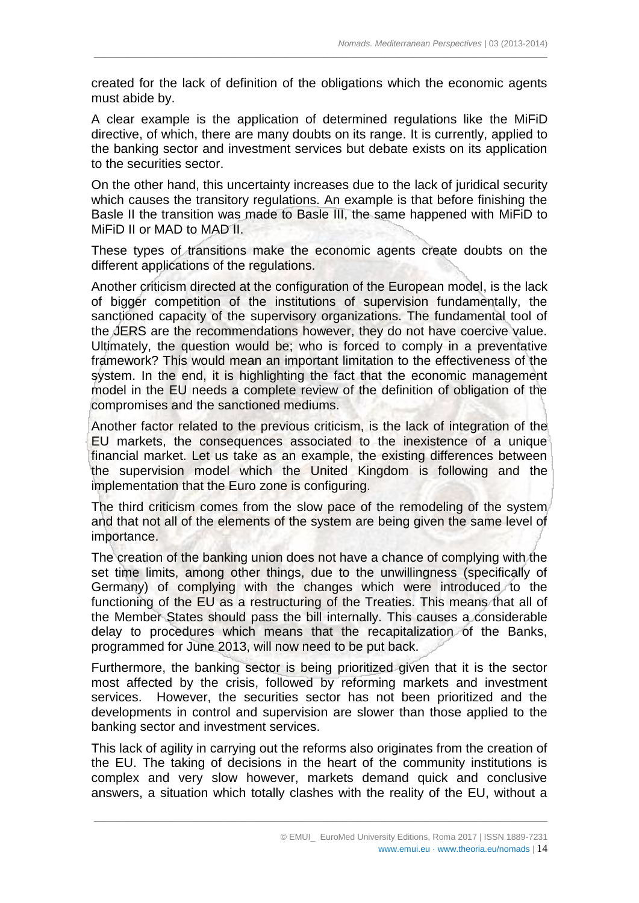created for the lack of definition of the obligations which the economic agents must abide by.

 $\_$  ,  $\_$  ,  $\_$  ,  $\_$  ,  $\_$  ,  $\_$  ,  $\_$  ,  $\_$  ,  $\_$  ,  $\_$  ,  $\_$  ,  $\_$  ,  $\_$  ,  $\_$  ,  $\_$  ,  $\_$  ,  $\_$  ,  $\_$  ,  $\_$  ,  $\_$  ,  $\_$  ,  $\_$  ,  $\_$  ,  $\_$  ,  $\_$  ,  $\_$  ,  $\_$  ,  $\_$  ,  $\_$  ,  $\_$  ,  $\_$  ,  $\_$  ,  $\_$  ,  $\_$  ,  $\_$  ,  $\_$  ,  $\_$  ,

A clear example is the application of determined regulations like the MiFiD directive, of which, there are many doubts on its range. It is currently, applied to the banking sector and investment services but debate exists on its application to the securities sector.

On the other hand, this uncertainty increases due to the lack of juridical security which causes the transitory regulations. An example is that before finishing the Basle II the transition was made to Basle III, the same happened with MiFiD to MiFiD II or MAD to MAD II.

These types of transitions make the economic agents create doubts on the different applications of the regulations.

Another criticism directed at the configuration of the European model, is the lack of bigger competition of the institutions of supervision fundamentally, the sanctioned capacity of the supervisory organizations. The fundamental tool of the JERS are the recommendations however, they do not have coercive value. Ultimately, the question would be; who is forced to comply in a preventative framework? This would mean an important limitation to the effectiveness of the system. In the end, it is highlighting the fact that the economic management model in the EU needs a complete review of the definition of obligation of the compromises and the sanctioned mediums.

Another factor related to the previous criticism, is the lack of integration of the EU markets, the consequences associated to the inexistence of a unique financial market. Let us take as an example, the existing differences between the supervision model which the United Kingdom is following and the implementation that the Euro zone is configuring.

The third criticism comes from the slow pace of the remodeling of the system and that not all of the elements of the system are being given the same level of importance.

The creation of the banking union does not have a chance of complying with the set time limits, among other things, due to the unwillingness (specifically of Germany) of complying with the changes which were introduced to the functioning of the EU as a restructuring of the Treaties. This means that all of the Member States should pass the bill internally. This causes a considerable delay to procedures which means that the recapitalization of the Banks, programmed for June 2013, will now need to be put back.

Furthermore, the banking sector is being prioritized given that it is the sector most affected by the crisis, followed by reforming markets and investment services. However, the securities sector has not been prioritized and the developments in control and supervision are slower than those applied to the banking sector and investment services.

This lack of agility in carrying out the reforms also originates from the creation of the EU. The taking of decisions in the heart of the community institutions is complex and very slow however, markets demand quick and conclusive answers, a situation which totally clashes with the reality of the EU, without a

<sup>©</sup> EMUI\_ EuroMed University Editions, Roma 2017 | ISSN 1889-7231 www.emui.eu · www.theoria.eu/nomads | 14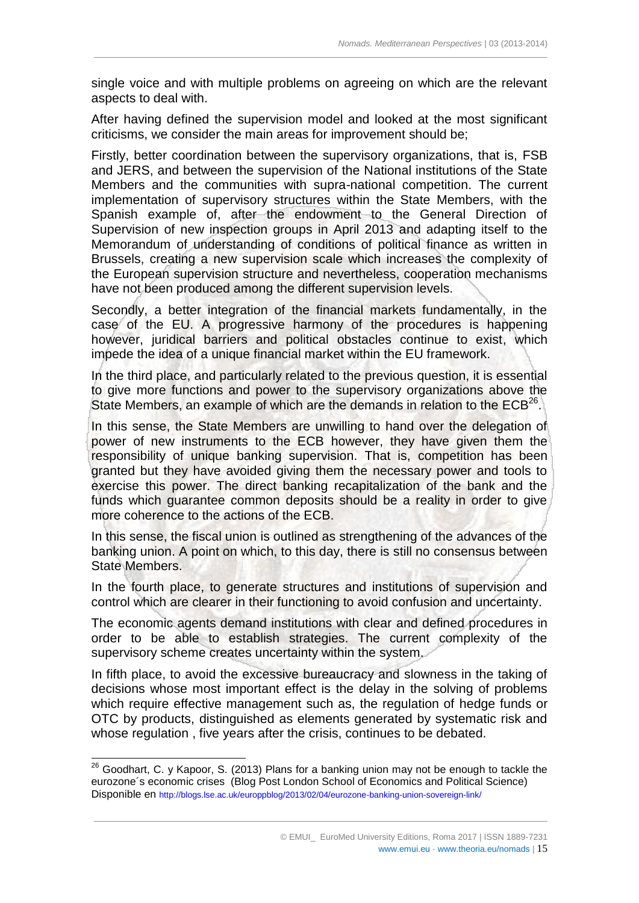single voice and with multiple problems on agreeing on which are the relevant aspects to deal with.

 $\_$  ,  $\_$  ,  $\_$  ,  $\_$  ,  $\_$  ,  $\_$  ,  $\_$  ,  $\_$  ,  $\_$  ,  $\_$  ,  $\_$  ,  $\_$  ,  $\_$  ,  $\_$  ,  $\_$  ,  $\_$  ,  $\_$  ,  $\_$  ,  $\_$  ,  $\_$  ,  $\_$  ,  $\_$  ,  $\_$  ,  $\_$  ,  $\_$  ,  $\_$  ,  $\_$  ,  $\_$  ,  $\_$  ,  $\_$  ,  $\_$  ,  $\_$  ,  $\_$  ,  $\_$  ,  $\_$  ,  $\_$  ,  $\_$  ,

After having defined the supervision model and looked at the most significant criticisms, we consider the main areas for improvement should be;

Firstly, better coordination between the supervisory organizations, that is, FSB and JERS, and between the supervision of the National institutions of the State Members and the communities with supra-national competition. The current implementation of supervisory structures within the State Members, with the Spanish example of, after the endowment to the General Direction of Supervision of new inspection groups in April 2013 and adapting itself to the Memorandum of understanding of conditions of political finance as written in Brussels, creating a new supervision scale which increases the complexity of the European supervision structure and nevertheless, cooperation mechanisms have not been produced among the different supervision levels.

Secondly, a better integration of the financial markets fundamentally, in the case of the EU. A progressive harmony of the procedures is happening however, juridical barriers and political obstacles continue to exist, which impede the idea of a unique financial market within the EU framework.

In the third place, and particularly related to the previous question, it is essential to give more functions and power to the supervisory organizations above the State Members, an example of which are the demands in relation to the ECB<sup>26</sup>.

In this sense, the State Members are unwilling to hand over the delegation of power of new instruments to the ECB however, they have given them the responsibility of unique banking supervision. That is, competition has been granted but they have avoided giving them the necessary power and tools to exercise this power. The direct banking recapitalization of the bank and the funds which quarantee common deposits should be a reality in order to give more coherence to the actions of the ECB.

In this sense, the fiscal union is outlined as strengthening of the advances of the banking union. A point on which, to this day, there is still no consensus between State Members.

In the fourth place, to generate structures and institutions of supervision and control which are clearer in their functioning to avoid confusion and uncertainty.

The economic agents demand institutions with clear and defined procedures in order to be able to establish strategies. The current complexity of the supervisory scheme creates uncertainty within the system.

In fifth place, to avoid the excessive bureaucracy and slowness in the taking of decisions whose most important effect is the delay in the solving of problems which require effective management such as, the regulation of hedge funds or OTC by products, distinguished as elements generated by systematic risk and whose regulation , five years after the crisis, continues to be debated.

-

 $26$  Goodhart, C. y Kapoor, S. (2013) Plans for a banking union may not be enough to tackle the eurozone´s economic crises (Blog Post London School of Economics and Political Science) Disponible en <http://blogs.lse.ac.uk/europpblog/2013/02/04/eurozone-banking-union-sovereign-link/>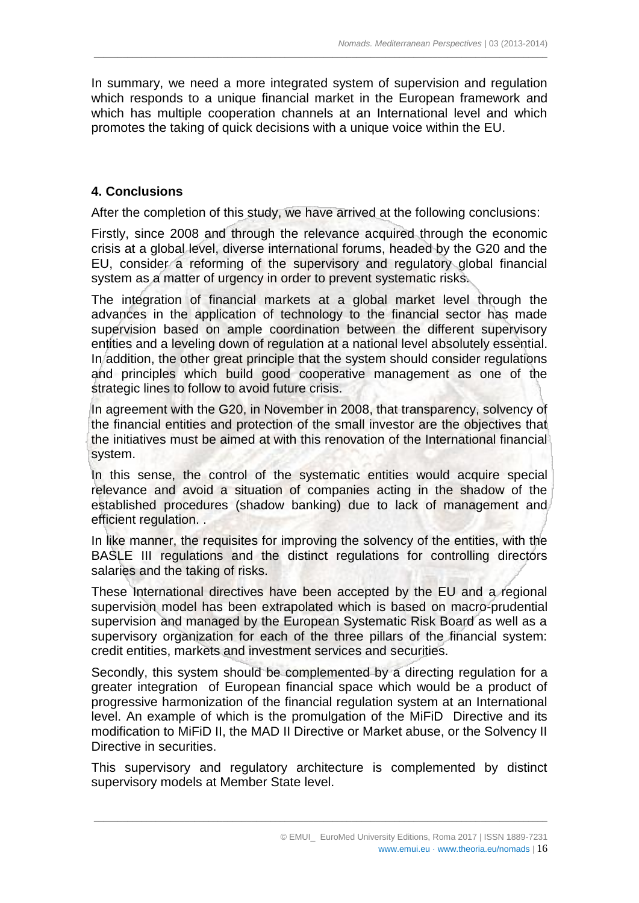In summary, we need a more integrated system of supervision and regulation which responds to a unique financial market in the European framework and which has multiple cooperation channels at an International level and which promotes the taking of quick decisions with a unique voice within the EU.

 $\_$  ,  $\_$  ,  $\_$  ,  $\_$  ,  $\_$  ,  $\_$  ,  $\_$  ,  $\_$  ,  $\_$  ,  $\_$  ,  $\_$  ,  $\_$  ,  $\_$  ,  $\_$  ,  $\_$  ,  $\_$  ,  $\_$  ,  $\_$  ,  $\_$  ,  $\_$  ,  $\_$  ,  $\_$  ,  $\_$  ,  $\_$  ,  $\_$  ,  $\_$  ,  $\_$  ,  $\_$  ,  $\_$  ,  $\_$  ,  $\_$  ,  $\_$  ,  $\_$  ,  $\_$  ,  $\_$  ,  $\_$  ,  $\_$  ,

## **4. Conclusions**

After the completion of this study, we have arrived at the following conclusions:

Firstly, since 2008 and through the relevance acquired through the economic crisis at a global level, diverse international forums, headed by the G20 and the EU, consider a reforming of the supervisory and regulatory global financial system as a matter of urgency in order to prevent systematic risks.

The integration of financial markets at a global market level through the advances in the application of technology to the financial sector has made supervision based on ample coordination between the different supervisory entities and a leveling down of regulation at a national level absolutely essential. In addition, the other great principle that the system should consider regulations and principles which build good cooperative management as one of the strategic lines to follow to avoid future crisis.

In agreement with the G20, in November in 2008, that transparency, solvency of the financial entities and protection of the small investor are the objectives that the initiatives must be aimed at with this renovation of the International financial system.

In this sense, the control of the systematic entities would acquire special relevance and avoid a situation of companies acting in the shadow of the established procedures (shadow banking) due to lack of management and efficient regulation. .

In like manner, the requisites for improving the solvency of the entities, with the BASLE III regulations and the distinct regulations for controlling directors salaries and the taking of risks.

These International directives have been accepted by the EU and a regional supervision model has been extrapolated which is based on macro-prudential supervision and managed by the European Systematic Risk Board as well as a supervisory organization for each of the three pillars of the financial system: credit entities, markets and investment services and securities.

Secondly, this system should be complemented by a directing regulation for a greater integration of European financial space which would be a product of progressive harmonization of the financial regulation system at an International level. An example of which is the promulgation of the MiFiD Directive and its modification to MiFiD II, the MAD II Directive or Market abuse, or the Solvency II Directive in securities.

This supervisory and regulatory architecture is complemented by distinct supervisory models at Member State level.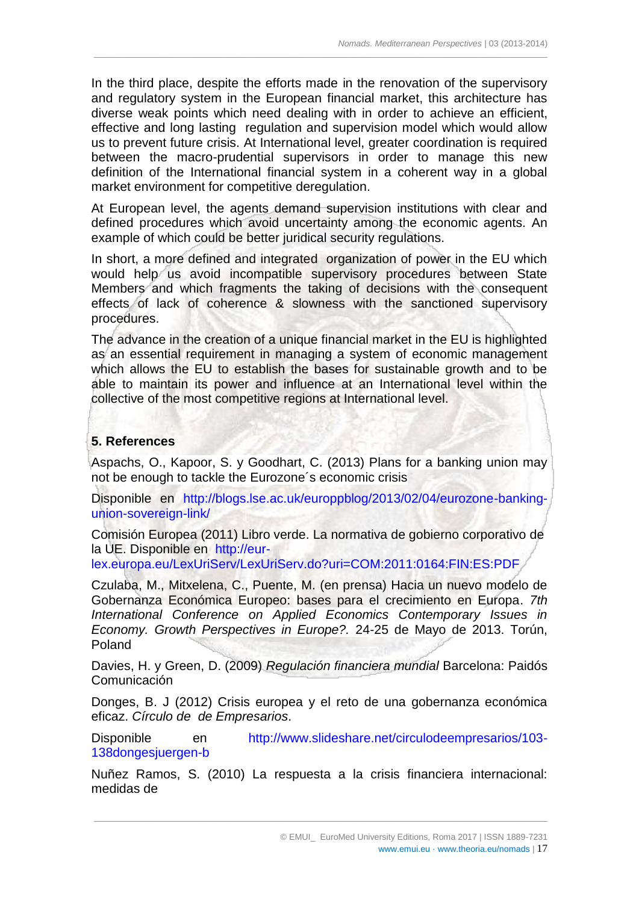In the third place, despite the efforts made in the renovation of the supervisory and regulatory system in the European financial market, this architecture has diverse weak points which need dealing with in order to achieve an efficient, effective and long lasting regulation and supervision model which would allow us to prevent future crisis. At International level, greater coordination is required between the macro-prudential supervisors in order to manage this new definition of the International financial system in a coherent way in a global market environment for competitive deregulation.

 $\_$  ,  $\_$  ,  $\_$  ,  $\_$  ,  $\_$  ,  $\_$  ,  $\_$  ,  $\_$  ,  $\_$  ,  $\_$  ,  $\_$  ,  $\_$  ,  $\_$  ,  $\_$  ,  $\_$  ,  $\_$  ,  $\_$  ,  $\_$  ,  $\_$  ,  $\_$  ,  $\_$  ,  $\_$  ,  $\_$  ,  $\_$  ,  $\_$  ,  $\_$  ,  $\_$  ,  $\_$  ,  $\_$  ,  $\_$  ,  $\_$  ,  $\_$  ,  $\_$  ,  $\_$  ,  $\_$  ,  $\_$  ,  $\_$  ,

At European level, the agents demand supervision institutions with clear and defined procedures which avoid uncertainty among the economic agents. An example of which could be better juridical security regulations.

In short, a more defined and integrated organization of power in the EU which would help us avoid incompatible supervisory procedures between State Members and which fragments the taking of decisions with the consequent effects of lack of coherence & slowness with the sanctioned supervisory procedures.

The advance in the creation of a unique financial market in the EU is highlighted as an essential requirement in managing a system of economic management which allows the EU to establish the bases for sustainable growth and to be able to maintain its power and influence at an International level within the collective of the most competitive regions at International level.

# **5. References**

Aspachs, O., Kapoor, S. y Goodhart, C. (2013) Plans for a banking union may not be enough to tackle the Eurozone´s economic crisis

Disponible en [http://blogs.lse.ac.uk/europpblog/2013/02/04/eurozone-banking](http://blogs.lse.ac.uk/europpblog/2013/02/04/eurozone-banking-union-sovereign-link/)[union-sovereign-link/](http://blogs.lse.ac.uk/europpblog/2013/02/04/eurozone-banking-union-sovereign-link/)

Comisión Europea (2011) Libro verde. La normativa de gobierno corporativo de la UE. Disponible en [http://eur-](http://eur-lex.europa.eu/LexUriServ/LexUriServ.do?uri=COM:2011:0164:FIN:ES:PDF)

[lex.europa.eu/LexUriServ/LexUriServ.do?uri=COM:2011:0164:FIN:ES:PDF](http://eur-lex.europa.eu/LexUriServ/LexUriServ.do?uri=COM:2011:0164:FIN:ES:PDF)

Czulaba, M., Mitxelena, C., Puente, M. (en prensa) Hacia un nuevo modelo de Gobernanza Económica Europeo: bases para el crecimiento en Europa. *7th International Conference on Applied Economics Contemporary Issues in Economy. Growth Perspectives in Europe?.* 24-25 de Mayo de 2013. Torún, Poland

Davies, H. y Green, D. (2009) *Regulación financiera mundial* Barcelona: Paidós Comunicación

Donges, B. J (2012) Crisis europea y el reto de una gobernanza económica eficaz. *Círculo de de Empresarios*.

Disponible en [http://www.slideshare.net/circulodeempresarios/103-](http://www.slideshare.net/circulodeempresarios/103-138dongesjuergen-b) [138dongesjuergen-b](http://www.slideshare.net/circulodeempresarios/103-138dongesjuergen-b)

Nuñez Ramos, S. (2010) La respuesta a la crisis financiera internacional: medidas de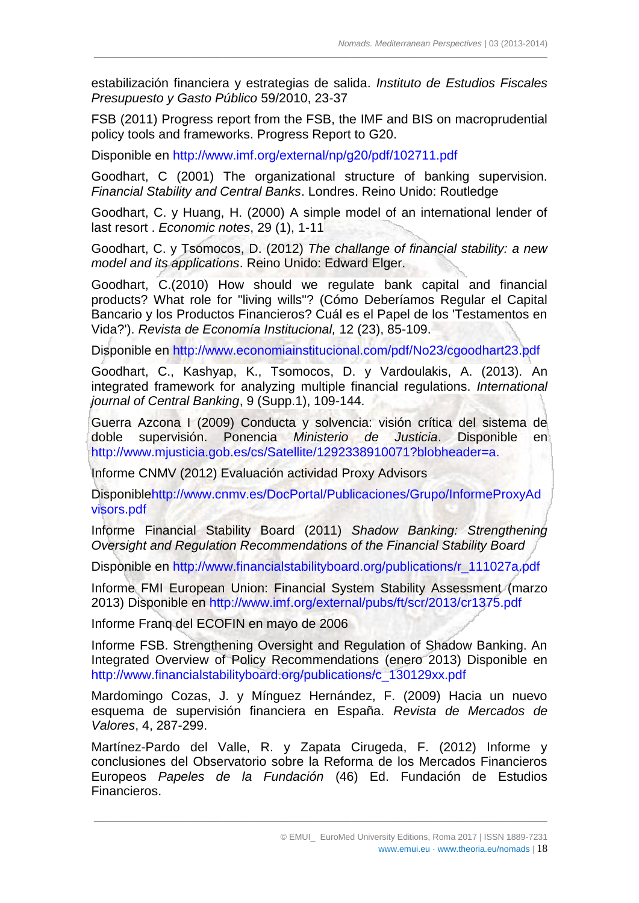estabilización financiera y estrategias de salida. *Instituto de Estudios Fiscales Presupuesto y Gasto Público* 59/2010, 23-37

 $\_$  ,  $\_$  ,  $\_$  ,  $\_$  ,  $\_$  ,  $\_$  ,  $\_$  ,  $\_$  ,  $\_$  ,  $\_$  ,  $\_$  ,  $\_$  ,  $\_$  ,  $\_$  ,  $\_$  ,  $\_$  ,  $\_$  ,  $\_$  ,  $\_$  ,  $\_$  ,  $\_$  ,  $\_$  ,  $\_$  ,  $\_$  ,  $\_$  ,  $\_$  ,  $\_$  ,  $\_$  ,  $\_$  ,  $\_$  ,  $\_$  ,  $\_$  ,  $\_$  ,  $\_$  ,  $\_$  ,  $\_$  ,  $\_$  ,

FSB (2011) Progress report from the FSB, the IMF and BIS on macroprudential policy tools and frameworks. Progress Report to G20.

Disponible en<http://www.imf.org/external/np/g20/pdf/102711.pdf>

Goodhart, C (2001) The organizational structure of banking supervision. *Financial Stability and Central Banks*. Londres. Reino Unido: Routledge

Goodhart, C. y Huang, H. (2000) A simple model of an international lender of last resort . *Economic notes*, 29 (1), 1-11

Goodhart, C. y Tsomocos, D. (2012) *The challange of financial stability: a new model and its applications*. Reino Unido: Edward Elger.

Goodhart, C.(2010) How should we regulate bank capital and financial products? What role for "living wills"? (Cómo Deberíamos Regular el Capital Bancario y los Productos Financieros? Cuál es el Papel de los 'Testamentos en Vida?'). *Revista de Economía Institucional,* 12 (23), 85-109.

Disponible en<http://www.economiainstitucional.com/pdf/No23/cgoodhart23.pdf>

Goodhart, C., Kashyap, K., Tsomocos, D. y Vardoulakis, A. (2013). An integrated framework for analyzing multiple financial regulations. *International journal of Central Banking*, 9 (Supp.1), 109-144.

Guerra Azcona I (2009) Conducta y solvencia: visión crítica del sistema de doble supervisión. Ponencia *Ministerio de Justicia*. Disponible en <http://www.mjusticia.gob.es/cs/Satellite/1292338910071?blobheader=a.>

Informe CNMV (2012) Evaluación actividad Proxy Advisors

Disponibl[ehttp://www.cnmv.es/DocPortal/Publicaciones/Grupo/InformeProxyAd](http://www.cnmv.es/DocPortal/Publicaciones/Grupo/InformeProxyAdvisors.pdf) [visors.pdf](http://www.cnmv.es/DocPortal/Publicaciones/Grupo/InformeProxyAdvisors.pdf)

Informe Financial Stability Board (2011) *Shadow Banking: Strengthening Oversight and Regulation Recommendations of the Financial Stability Board*

Disponible en [http://www.financialstabilityboard.org/publications/r\\_111027a.pdf](http://www.financialstabilityboard.org/publications/r_111027a.pdf)

Informe FMI European Union: Financial System Stability Assessment (marzo 2013) Disponible en<http://www.imf.org/external/pubs/ft/scr/2013/cr1375.pdf>

Informe Franq del ECOFIN en mayo de 2006

Informe FSB. Strengthening Oversight and Regulation of Shadow Banking. An Integrated Overview of Policy Recommendations (enero 2013) Disponible en [http://www.financialstabilityboard.org/publications/c\\_130129xx.pdf](http://www.financialstabilityboard.org/publications/c_130129xx.pdf)

Mardomingo Cozas, J. y Mínguez Hernández, F. (2009) Hacia un nuevo esquema de supervisión financiera en España. *Revista de Mercados de Valores*, 4, 287-299.

Martínez-Pardo del Valle, R. y Zapata Cirugeda, F. (2012) Informe y conclusiones del Observatorio sobre la Reforma de los Mercados Financieros Europeos *Papeles de la Fundación* (46) Ed. Fundación de Estudios Financieros.